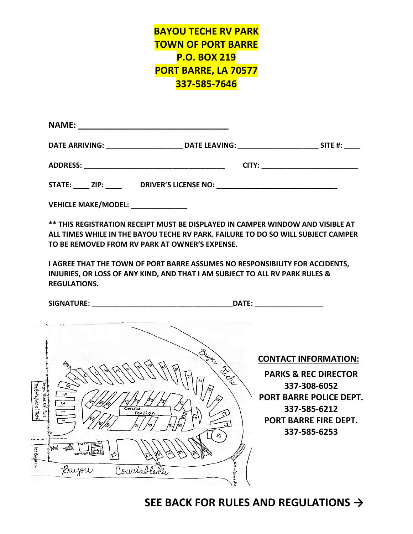## **BAYOU TECHE RV PARK TOWN OF PORT BARRE P.O. BOX 219 PORT BARRE, LA 70577 337-585-7646**

| <b>NAME:</b>                       | <u> 1980 - Andrew Alexander en Bernard en Bernhard en bestehende en bestehende en bestehende en bestehende en be</u> |            |
|------------------------------------|----------------------------------------------------------------------------------------------------------------------|------------|
| DATE ARRIVING: ___________________ | DATE LEAVING: _____________________                                                                                  | SITE $#$ : |
|                                    |                                                                                                                      |            |
| STATE: ZIP:                        |                                                                                                                      |            |
| <b>VEHICLE MAKE/MODEL:</b>         |                                                                                                                      |            |

**\*\* THIS REGISTRATION RECEIPT MUST BE DISPLAYED IN CAMPER WINDOW AND VISIBLE AT ALL TIMES WHILE IN THE BAYOU TECHE RV PARK. FAILURE TO DO SO WILL SUBJECT CAMPER TO BE REMOVED FROM RV PARK AT OWNER'S EXPENSE.**

**I AGREE THAT THE TOWN OF PORT BARRE ASSUMES NO RESPONSIBILITY FOR ACCIDENTS, INJURIES, OR LOSS OF ANY KIND, AND THAT I AM SUBJECT TO ALL RV PARK RULES & REGULATIONS.**

**SIGNATURE: \_\_\_\_\_\_\_\_\_\_\_\_\_\_\_\_\_\_\_\_\_\_\_\_\_\_\_\_\_\_\_\_\_\_\_DATE: \_\_\_\_\_\_\_\_\_\_\_\_\_\_\_\_\_**



**CONTACT INFORMATION:**

**PARKS & REC DIRECTOR 337-308-6052 PORT BARRE POLICE DEPT. 337-585-6212 PORT BARRE FIRE DEPT. 337-585-6253**

## **SEE BACK FOR RULES AND REGULATIONS →**